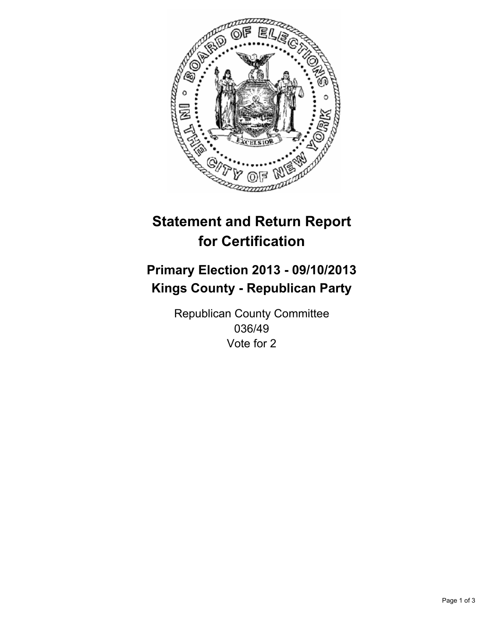

# **Statement and Return Report for Certification**

# **Primary Election 2013 - 09/10/2013 Kings County - Republican Party**

Republican County Committee 036/49 Vote for 2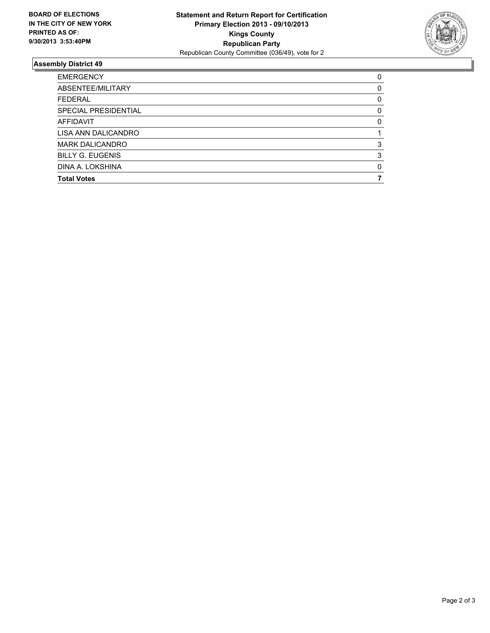

## **Assembly District 49**

| <b>EMERGENCY</b>        | 0        |
|-------------------------|----------|
| ABSENTEE/MILITARY       | $\Omega$ |
| <b>FEDERAL</b>          | 0        |
| SPECIAL PRESIDENTIAL    | 0        |
| AFFIDAVIT               | 0        |
| LISA ANN DALICANDRO     |          |
| <b>MARK DALICANDRO</b>  | 3        |
| <b>BILLY G. EUGENIS</b> | 3        |
| DINA A. LOKSHINA        | $\Omega$ |
| <b>Total Votes</b>      |          |
|                         |          |